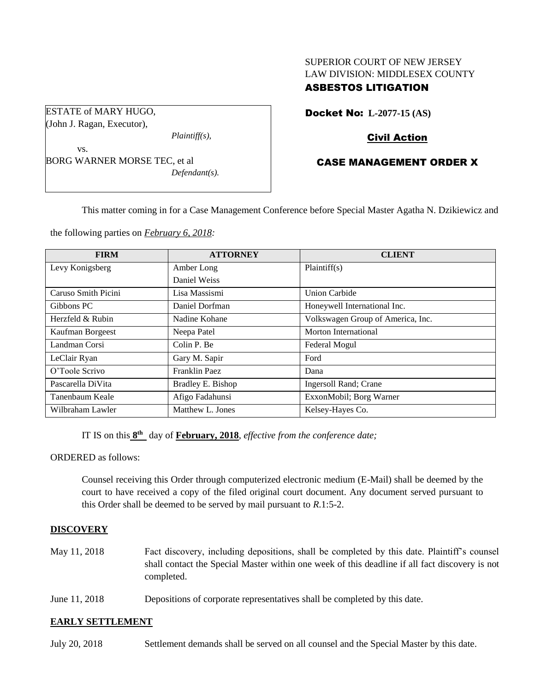# SUPERIOR COURT OF NEW JERSEY LAW DIVISION: MIDDLESEX COUNTY

# ASBESTOS LITIGATION

ESTATE of MARY HUGO, (John J. Ragan, Executor),

*Plaintiff(s),*

vs. BORG WARNER MORSE TEC, et al *Defendant(s).* Docket No: **L-2077-15 (AS)** 

# Civil Action

# CASE MANAGEMENT ORDER X

This matter coming in for a Case Management Conference before Special Master Agatha N. Dzikiewicz and

the following parties on *February 6, 2018:*

| <b>FIRM</b>         | <b>ATTORNEY</b>   | <b>CLIENT</b>                     |
|---------------------|-------------------|-----------------------------------|
| Levy Konigsberg     | Amber Long        | Plaintiff(s)                      |
|                     | Daniel Weiss      |                                   |
| Caruso Smith Picini | Lisa Massismi     | <b>Union Carbide</b>              |
| Gibbons PC          | Daniel Dorfman    | Honeywell International Inc.      |
| Herzfeld & Rubin    | Nadine Kohane     | Volkswagen Group of America, Inc. |
| Kaufman Borgeest    | Neepa Patel       | Morton International              |
| Landman Corsi       | Colin P. Be       | Federal Mogul                     |
| LeClair Ryan        | Gary M. Sapir     | Ford                              |
| O'Toole Scrivo      | Franklin Paez     | Dana                              |
| Pascarella DiVita   | Bradley E. Bishop | Ingersoll Rand; Crane             |
| Tanenbaum Keale     | Afigo Fadahunsi   | ExxonMobil; Borg Warner           |
| Wilbraham Lawler    | Matthew L. Jones  | Kelsey-Hayes Co.                  |

IT IS on this  $8^{\text{th}}$  day of **February, 2018**, *effective from the conference date*;

ORDERED as follows:

Counsel receiving this Order through computerized electronic medium (E-Mail) shall be deemed by the court to have received a copy of the filed original court document. Any document served pursuant to this Order shall be deemed to be served by mail pursuant to *R*.1:5-2.

## **DISCOVERY**

- May 11, 2018 Fact discovery, including depositions, shall be completed by this date. Plaintiff's counsel shall contact the Special Master within one week of this deadline if all fact discovery is not completed.
- June 11, 2018 Depositions of corporate representatives shall be completed by this date.

## **EARLY SETTLEMENT**

July 20, 2018 Settlement demands shall be served on all counsel and the Special Master by this date.